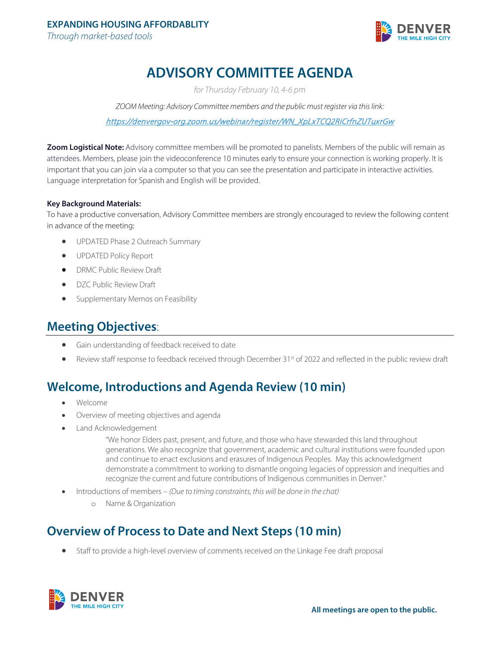

# **ADVISORY COMMITTEE AGENDA**

*for Thursday February 10, 4-6 pm*

*ZOOM Meeting: Advisory Committee members and the public must register via this link:*  [https://denvergov-org.zoom.us/webinar/register/WN\\_XpLxTCQ2RiCrfnZUTuxrGw](https://denvergov-org.zoom.us/webinar/register/WN_XpLxTCQ2RiCrfnZUTuxrGw) 

**Zoom Logistical Note:** Advisory committee members will be promoted to panelists. Members of the public will remain as attendees. Members, please join the videoconference 10 minutes early to ensure your connection is working properly. It is important that you can join via a computer so that you can see the presentation and participate in interactive activities. Language interpretation for Spanish and English will be provided.

### **Key Background Materials:**

To have a productive conversation, Advisory Committee members are strongly encouraged to review the following content in advance of the meeting:

- UPDATED Phase 2 Outreach Summary
- UPDATED Policy Report
- DRMC Public Review Draft
- DZC Public Review Draft
- Supplementary Memos on Feasibility

### **Meeting Objectives**:

- Gain understanding of feedback received to date
- Review staff response to feedback received through December 31<sup>st</sup> of 2022 and reflected in the public review draft

## **Welcome, Introductions and Agenda Review (10 min)**

- Welcome
- Overview of meeting objectives and agenda
- Land Acknowledgement

"We honor Elders past, present, and future, and those who have stewarded this land throughout generations. We also recognize that government, academic and cultural institutions were founded upon and continue to enact exclusions and erasures of Indigenous Peoples. May this acknowledgment demonstrate a commitment to working to dismantle ongoing legacies of oppression and inequities and recognize the current and future contributions of Indigenous communities in Denver."

- Introductions of members *(Due to timing constraints, this will be done in the chat)* 
	- o Name & Organization

### **Overview of Process to Date and Next Steps (10 min)**

• Staff to provide a high-level overview of comments received on the Linkage Fee draft proposal